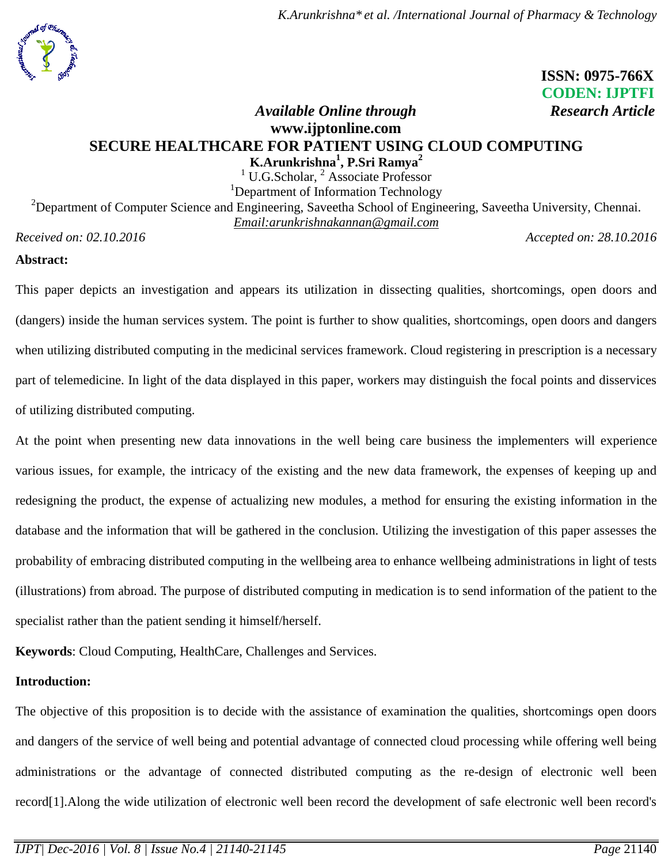

# **ISSN: 0975-766X CODEN: IJPTFI**

# *Available Online through* Research Article **www.ijptonline.com SECURE HEALTHCARE FOR PATIENT USING CLOUD COMPUTING K.Arunkrishna<sup>1</sup> , P.Sri Ramya<sup>2</sup>**

 $1$  U.G.Scholar,  $2$  Associate Professor <sup>1</sup>Department of Information Technology

<sup>2</sup>Department of Computer Science and Engineering, Saveetha School of Engineering, Saveetha University, Chennai. *Email:arunkrishnakannan@gmail.com Received on: 02.10.2016 Accepted on: 28.10.2016*

## **Abstract:**

This paper depicts an investigation and appears its utilization in dissecting qualities, shortcomings, open doors and (dangers) inside the human services system. The point is further to show qualities, shortcomings, open doors and dangers when utilizing distributed computing in the medicinal services framework. Cloud registering in prescription is a necessary part of telemedicine. In light of the data displayed in this paper, workers may distinguish the focal points and disservices of utilizing distributed computing.

At the point when presenting new data innovations in the well being care business the implementers will experience various issues, for example, the intricacy of the existing and the new data framework, the expenses of keeping up and redesigning the product, the expense of actualizing new modules, a method for ensuring the existing information in the database and the information that will be gathered in the conclusion. Utilizing the investigation of this paper assesses the probability of embracing distributed computing in the wellbeing area to enhance wellbeing administrations in light of tests (illustrations) from abroad. The purpose of distributed computing in medication is to send information of the patient to the specialist rather than the patient sending it himself/herself.

**Keywords**: Cloud Computing, HealthCare, Challenges and Services.

## **Introduction:**

The objective of this proposition is to decide with the assistance of examination the qualities, shortcomings open doors and dangers of the service of well being and potential advantage of connected cloud processing while offering well being administrations or the advantage of connected distributed computing as the re-design of electronic well been record[1].Along the wide utilization of electronic well been record the development of safe electronic well been record's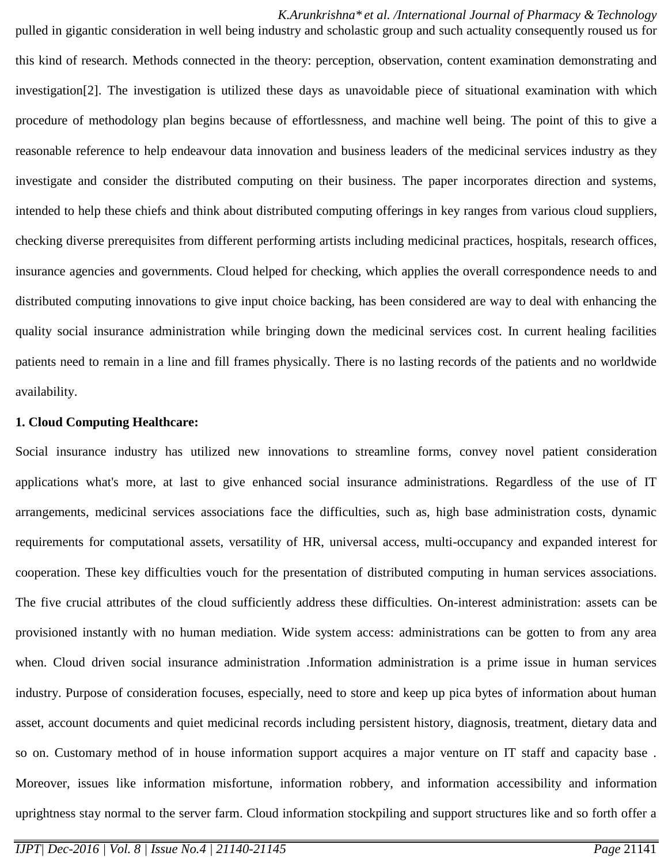*K.Arunkrishna\* et al. /International Journal of Pharmacy & Technology* pulled in gigantic consideration in well being industry and scholastic group and such actuality consequently roused us for this kind of research. Methods connected in the theory: perception, observation, content examination demonstrating and investigation[2]. The investigation is utilized these days as unavoidable piece of situational examination with which procedure of methodology plan begins because of effortlessness, and machine well being. The point of this to give a reasonable reference to help endeavour data innovation and business leaders of the medicinal services industry as they investigate and consider the distributed computing on their business. The paper incorporates direction and systems, intended to help these chiefs and think about distributed computing offerings in key ranges from various cloud suppliers, checking diverse prerequisites from different performing artists including medicinal practices, hospitals, research offices, insurance agencies and governments. Cloud helped for checking, which applies the overall correspondence needs to and distributed computing innovations to give input choice backing, has been considered are way to deal with enhancing the quality social insurance administration while bringing down the medicinal services cost. In current healing facilities patients need to remain in a line and fill frames physically. There is no lasting records of the patients and no worldwide availability.

#### **1. Cloud Computing Healthcare:**

Social insurance industry has utilized new innovations to streamline forms, convey novel patient consideration applications what's more, at last to give enhanced social insurance administrations. Regardless of the use of IT arrangements, medicinal services associations face the difficulties, such as, high base administration costs, dynamic requirements for computational assets, versatility of HR, universal access, multi-occupancy and expanded interest for cooperation. These key difficulties vouch for the presentation of distributed computing in human services associations. The five crucial attributes of the cloud sufficiently address these difficulties. On-interest administration: assets can be provisioned instantly with no human mediation. Wide system access: administrations can be gotten to from any area when. Cloud driven social insurance administration .Information administration is a prime issue in human services industry. Purpose of consideration focuses, especially, need to store and keep up pica bytes of information about human asset, account documents and quiet medicinal records including persistent history, diagnosis, treatment, dietary data and so on. Customary method of in house information support acquires a major venture on IT staff and capacity base . Moreover, issues like information misfortune, information robbery, and information accessibility and information uprightness stay normal to the server farm. Cloud information stockpiling and support structures like and so forth offer a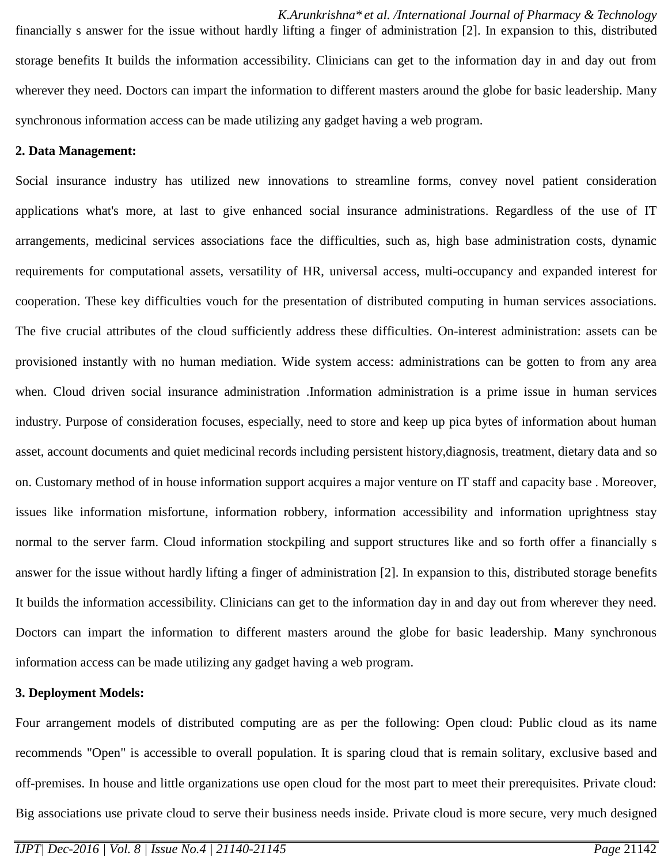*K.Arunkrishna\* et al. /International Journal of Pharmacy & Technology* financially s answer for the issue without hardly lifting a finger of administration [2]. In expansion to this, distributed storage benefits It builds the information accessibility. Clinicians can get to the information day in and day out from wherever they need. Doctors can impart the information to different masters around the globe for basic leadership. Many synchronous information access can be made utilizing any gadget having a web program.

## **2. Data Management:**

Social insurance industry has utilized new innovations to streamline forms, convey novel patient consideration applications what's more, at last to give enhanced social insurance administrations. Regardless of the use of IT arrangements, medicinal services associations face the difficulties, such as, high base administration costs, dynamic requirements for computational assets, versatility of HR, universal access, multi-occupancy and expanded interest for cooperation. These key difficulties vouch for the presentation of distributed computing in human services associations. The five crucial attributes of the cloud sufficiently address these difficulties. On-interest administration: assets can be provisioned instantly with no human mediation. Wide system access: administrations can be gotten to from any area when. Cloud driven social insurance administration .Information administration is a prime issue in human services industry. Purpose of consideration focuses, especially, need to store and keep up pica bytes of information about human asset, account documents and quiet medicinal records including persistent history,diagnosis, treatment, dietary data and so on. Customary method of in house information support acquires a major venture on IT staff and capacity base . Moreover, issues like information misfortune, information robbery, information accessibility and information uprightness stay normal to the server farm. Cloud information stockpiling and support structures like and so forth offer a financially s answer for the issue without hardly lifting a finger of administration [2]. In expansion to this, distributed storage benefits It builds the information accessibility. Clinicians can get to the information day in and day out from wherever they need. Doctors can impart the information to different masters around the globe for basic leadership. Many synchronous information access can be made utilizing any gadget having a web program.

#### **3. Deployment Models:**

Four arrangement models of distributed computing are as per the following: Open cloud: Public cloud as its name recommends "Open" is accessible to overall population. It is sparing cloud that is remain solitary, exclusive based and off-premises. In house and little organizations use open cloud for the most part to meet their prerequisites. Private cloud: Big associations use private cloud to serve their business needs inside. Private cloud is more secure, very much designed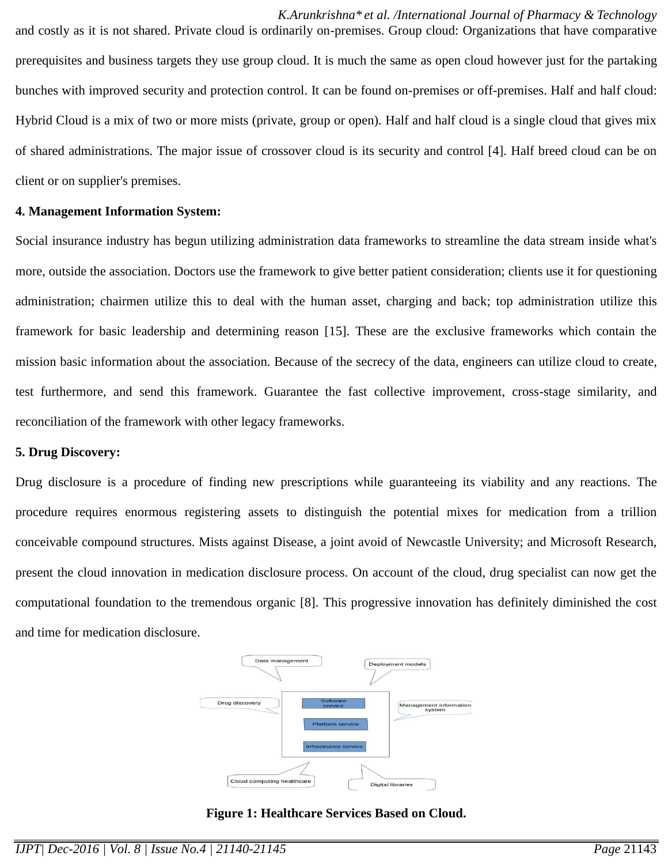*K.Arunkrishna\* et al. /International Journal of Pharmacy & Technology* and costly as it is not shared. Private cloud is ordinarily on-premises. Group cloud: Organizations that have comparative prerequisites and business targets they use group cloud. It is much the same as open cloud however just for the partaking bunches with improved security and protection control. It can be found on-premises or off-premises. Half and half cloud: Hybrid Cloud is a mix of two or more mists (private, group or open). Half and half cloud is a single cloud that gives mix of shared administrations. The major issue of crossover cloud is its security and control [4]. Half breed cloud can be on client or on supplier's premises.

#### **4. Management Information System:**

Social insurance industry has begun utilizing administration data frameworks to streamline the data stream inside what's more, outside the association. Doctors use the framework to give better patient consideration; clients use it for questioning administration; chairmen utilize this to deal with the human asset, charging and back; top administration utilize this framework for basic leadership and determining reason [15]. These are the exclusive frameworks which contain the mission basic information about the association. Because of the secrecy of the data, engineers can utilize cloud to create, test furthermore, and send this framework. Guarantee the fast collective improvement, cross-stage similarity, and reconciliation of the framework with other legacy frameworks.

#### **5. Drug Discovery:**

Drug disclosure is a procedure of finding new prescriptions while guaranteeing its viability and any reactions. The procedure requires enormous registering assets to distinguish the potential mixes for medication from a trillion conceivable compound structures. Mists against Disease, a joint avoid of Newcastle University; and Microsoft Research, present the cloud innovation in medication disclosure process. On account of the cloud, drug specialist can now get the computational foundation to the tremendous organic [8]. This progressive innovation has definitely diminished the cost and time for medication disclosure.



**Figure 1: Healthcare Services Based on Cloud.**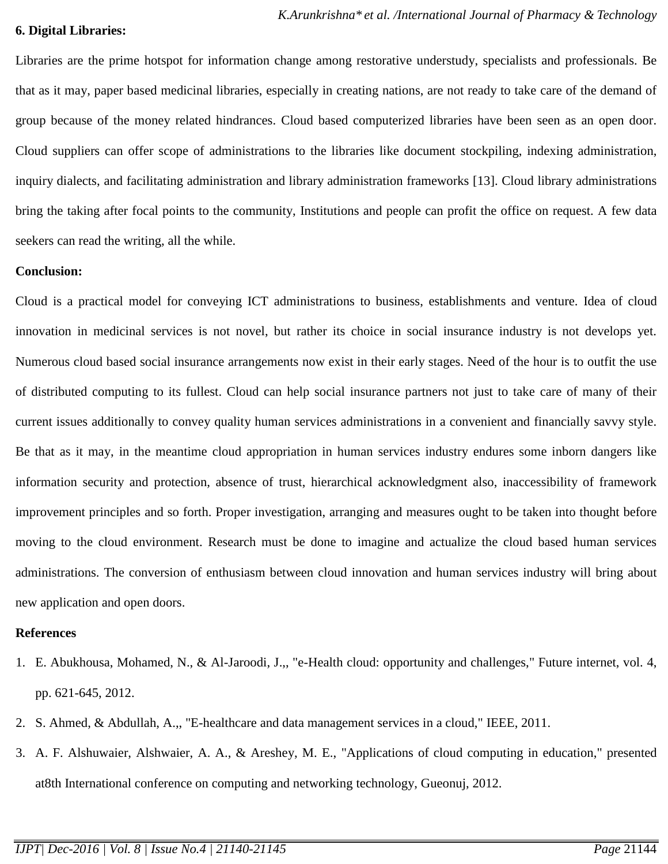#### **6. Digital Libraries:**

Libraries are the prime hotspot for information change among restorative understudy, specialists and professionals. Be that as it may, paper based medicinal libraries, especially in creating nations, are not ready to take care of the demand of group because of the money related hindrances. Cloud based computerized libraries have been seen as an open door. Cloud suppliers can offer scope of administrations to the libraries like document stockpiling, indexing administration, inquiry dialects, and facilitating administration and library administration frameworks [13]. Cloud library administrations bring the taking after focal points to the community, Institutions and people can profit the office on request. A few data seekers can read the writing, all the while.

#### **Conclusion:**

Cloud is a practical model for conveying ICT administrations to business, establishments and venture. Idea of cloud innovation in medicinal services is not novel, but rather its choice in social insurance industry is not develops yet. Numerous cloud based social insurance arrangements now exist in their early stages. Need of the hour is to outfit the use of distributed computing to its fullest. Cloud can help social insurance partners not just to take care of many of their current issues additionally to convey quality human services administrations in a convenient and financially savvy style. Be that as it may, in the meantime cloud appropriation in human services industry endures some inborn dangers like information security and protection, absence of trust, hierarchical acknowledgment also, inaccessibility of framework improvement principles and so forth. Proper investigation, arranging and measures ought to be taken into thought before moving to the cloud environment. Research must be done to imagine and actualize the cloud based human services administrations. The conversion of enthusiasm between cloud innovation and human services industry will bring about new application and open doors.

## **References**

- 1. E. Abukhousa, Mohamed, N., & Al-Jaroodi, J.,, "e-Health cloud: opportunity and challenges," Future internet, vol. 4, pp. 621-645, 2012.
- 2. S. Ahmed, & Abdullah, A.,, "E-healthcare and data management services in a cloud," IEEE, 2011.
- 3. A. F. Alshuwaier, Alshwaier, A. A., & Areshey, M. E., "Applications of cloud computing in education," presented at8th International conference on computing and networking technology, Gueonuj, 2012.